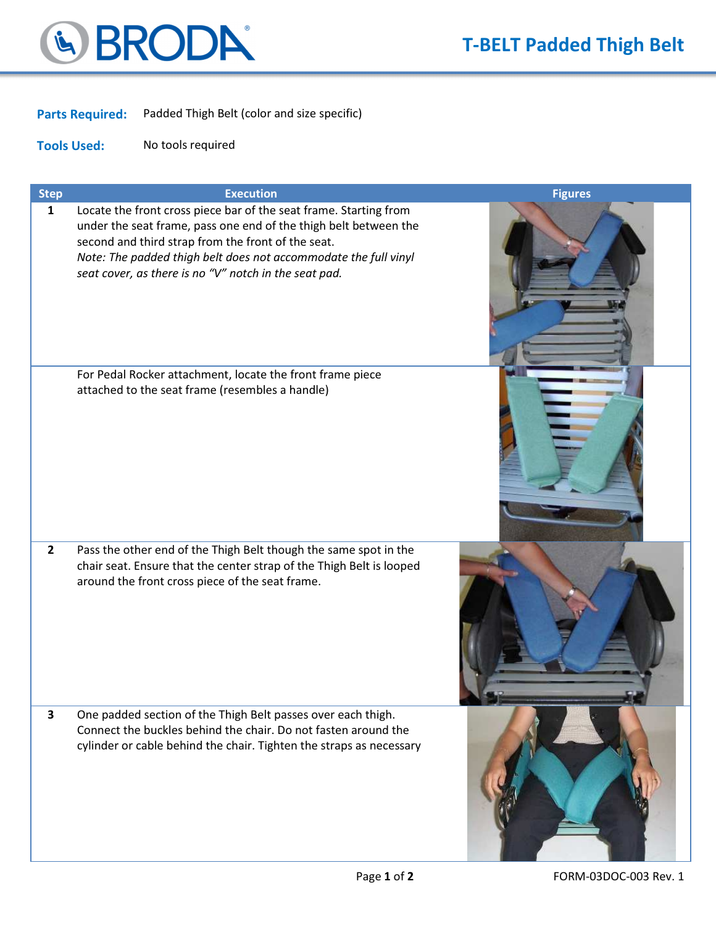

Parts Required: Padded Thigh Belt (color and size specific)

Tools Used: No tools required

| <b>Step</b>             | <b>Execution</b>                                                                                                                                                                                                                                                                                                        | <b>Figures</b> |
|-------------------------|-------------------------------------------------------------------------------------------------------------------------------------------------------------------------------------------------------------------------------------------------------------------------------------------------------------------------|----------------|
| $\mathbf{1}$            | Locate the front cross piece bar of the seat frame. Starting from<br>under the seat frame, pass one end of the thigh belt between the<br>second and third strap from the front of the seat.<br>Note: The padded thigh belt does not accommodate the full vinyl<br>seat cover, as there is no "V" notch in the seat pad. |                |
|                         | For Pedal Rocker attachment, locate the front frame piece<br>attached to the seat frame (resembles a handle)                                                                                                                                                                                                            |                |
| $\mathbf{2}$            | Pass the other end of the Thigh Belt though the same spot in the<br>chair seat. Ensure that the center strap of the Thigh Belt is looped<br>around the front cross piece of the seat frame.                                                                                                                             |                |
| $\overline{\mathbf{3}}$ | One padded section of the Thigh Belt passes over each thigh.<br>Connect the buckles behind the chair. Do not fasten around the<br>cylinder or cable behind the chair. Tighten the straps as necessary                                                                                                                   |                |